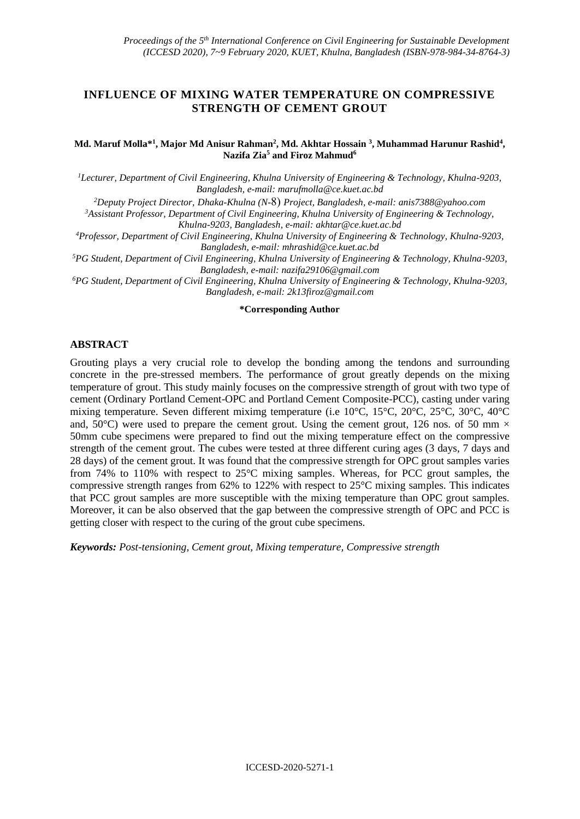# **INFLUENCE OF MIXING WATER TEMPERATURE ON COMPRESSIVE STRENGTH OF CEMENT GROUT**

#### **Md. Maruf Molla\* 1 , Major Md Anisur Rahman<sup>2</sup> , Md. Akhtar Hossain <sup>3</sup> , Muhammad Harunur Rashid<sup>4</sup> , Nazifa Zia<sup>5</sup> and Firoz Mahmud<sup>6</sup>**

*<sup>1</sup>Lecturer, Department of Civil Engineering, Khulna University of Engineering & Technology, Khulna-9203, Bangladesh, e-mail: [marufmolla@ce.kuet.ac.bd](mailto:marufmolla@ce.kuet.ac.bd)*

*<sup>2</sup>Deputy Project Director, Dhaka-Khulna (N-*8) *Project, Bangladesh, e-mail: [anis7388@yahoo.com](mailto:anis7388@yahoo.com)*

*<sup>3</sup>Assistant Professor, Department of Civil Engineering, Khulna University of Engineering & Technology, Khulna-9203, Bangladesh, e-mail: akhtar@ce.kuet.ac.bd*

*<sup>4</sup>Professor, Department of Civil Engineering, Khulna University of Engineering & Technology, Khulna-9203, Bangladesh, e-mail: [mhrashid@ce.kuet.ac.bd](mailto:mhrashid@ce.kuet.ac.bd)*

*<sup>5</sup>PG Student, Department of Civil Engineering, Khulna University of Engineering & Technology, Khulna-9203, Bangladesh, e-mail: [nazifa29106@gmail.com](mailto:nazifa29106@gmail.com)*

*<sup>6</sup>PG Student, Department of Civil Engineering, Khulna University of Engineering & Technology, Khulna-9203, Bangladesh, e-mail: [2k13firoz@gmail.com](mailto:2k13firoz@gmail.com)*

#### **\*Corresponding Author**

### **ABSTRACT**

Grouting plays a very crucial role to develop the bonding among the tendons and surrounding concrete in the pre-stressed members. The performance of grout greatly depends on the mixing temperature of grout. This study mainly focuses on the compressive strength of grout with two type of cement (Ordinary Portland Cement-OPC and Portland Cement Composite-PCC), casting under varing mixing temperature. Seven different miximg temperature (i.e 10°C, 15°C, 20°C, 25°C, 30°C, 40°C and, 50 $^{\circ}$ C) were used to prepare the cement grout. Using the cement grout, 126 nos. of 50 mm  $\times$ 50mm cube specimens were prepared to find out the mixing temperature effect on the compressive strength of the cement grout. The cubes were tested at three different curing ages (3 days, 7 days and 28 days) of the cement grout. It was found that the compressive strength for OPC grout samples varies from 74% to 110% with respect to 25°C mixing samples. Whereas, for PCC grout samples, the compressive strength ranges from 62% to 122% with respect to 25°C mixing samples. This indicates that PCC grout samples are more susceptible with the mixing temperature than OPC grout samples. Moreover, it can be also observed that the gap between the compressive strength of OPC and PCC is getting closer with respect to the curing of the grout cube specimens.

*Keywords: Post-tensioning, Cement grout, Mixing temperature, Compressive strength*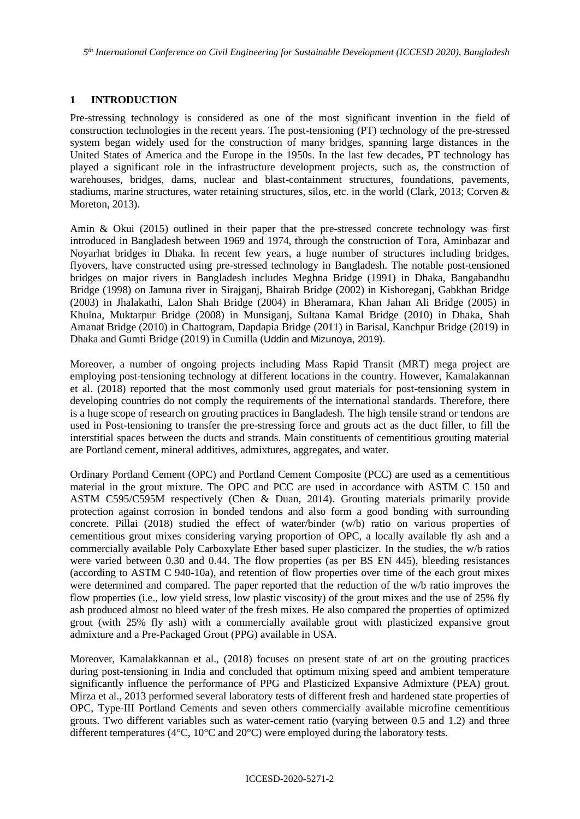*5 th International Conference on Civil Engineering for Sustainable Development (ICCESD 2020), Bangladesh*

# **1 INTRODUCTION**

Pre-stressing technology is considered as one of the most significant invention in the field of construction technologies in the recent years. The post-tensioning (PT) technology of the pre-stressed system began widely used for the construction of many bridges, spanning large distances in the United States of America and the Europe in the 1950s. In the last few decades, PT technology has played a significant role in the infrastructure development projects, such as, the construction of warehouses, bridges, dams, nuclear and blast-containment structures, foundations, pavements, stadiums, marine structures, water retaining structures, silos, etc. in the world (Clark, 2013; Corven & Moreton, 2013).

Amin & Okui (2015) outlined in their paper that the pre-stressed concrete technology was first introduced in Bangladesh between 1969 and 1974, through the construction of Tora, Aminbazar and Noyarhat bridges in Dhaka. In recent few years, a huge number of structures including bridges, flyovers, have constructed using pre-stressed technology in Bangladesh. The notable post-tensioned bridges on major rivers in Bangladesh includes Meghna Bridge (1991) in Dhaka, Bangabandhu Bridge (1998) on Jamuna river in Sirajganj, Bhairab Bridge (2002) in Kishoreganj, Gabkhan Bridge (2003) in Jhalakathi, Lalon Shah Bridge (2004) in Bheramara, Khan Jahan Ali Bridge (2005) in Khulna, Muktarpur Bridge (2008) in Munsiganj, Sultana Kamal Bridge (2010) in Dhaka, Shah Amanat Bridge (2010) in Chattogram, Dapdapia Bridge (2011) in Barisal, Kanchpur Bridge (2019) in Dhaka and Gumti Bridge (2019) in Cumilla (Uddin and Mizunoya, 2019).

Moreover, a number of ongoing projects including Mass Rapid Transit (MRT) mega project are employing post-tensioning technology at different locations in the country. However, Kamalakannan et al. (2018) reported that the most commonly used grout materials for post-tensioning system in developing countries do not comply the requirements of the international standards. Therefore, there is a huge scope of research on grouting practices in Bangladesh. The high tensile strand or tendons are used in Post-tensioning to transfer the pre-stressing force and grouts act as the duct filler, to fill the interstitial spaces between the ducts and strands. Main constituents of cementitious grouting material are Portland cement, mineral additives, admixtures, aggregates, and water.

Ordinary Portland Cement (OPC) and Portland Cement Composite (PCC) are used as a cementitious material in the grout mixture. The OPC and PCC are used in accordance with ASTM C 150 and ASTM C595/C595M respectively (Chen & Duan, 2014). Grouting materials primarily provide protection against corrosion in bonded tendons and also form a good bonding with surrounding concrete. Pillai (2018) studied the effect of water/binder (w/b) ratio on various properties of cementitious grout mixes considering varying proportion of OPC, a locally available fly ash and a commercially available Poly Carboxylate Ether based super plasticizer. In the studies, the w/b ratios were varied between 0.30 and 0.44. The flow properties (as per BS EN 445), bleeding resistances (according to ASTM C 940-10a), and retention of flow properties over time of the each grout mixes were determined and compared. The paper reported that the reduction of the w/b ratio improves the flow properties (i.e., low yield stress, low plastic viscosity) of the grout mixes and the use of 25% fly ash produced almost no bleed water of the fresh mixes. He also compared the properties of optimized grout (with 25% fly ash) with a commercially available grout with plasticized expansive grout admixture and a Pre-Packaged Grout (PPG) available in USA.

Moreover, Kamalakkannan et al., (2018) focuses on present state of art on the grouting practices during post-tensioning in India and concluded that optimum mixing speed and ambient temperature significantly influence the performance of PPG and Plasticized Expansive Admixture (PEA) grout. Mirza et al., 2013 performed several laboratory tests of different fresh and hardened state properties of OPC, Type-III Portland Cements and seven others commercially available microfine cementitious grouts. Two different variables such as water-cement ratio (varying between 0.5 and 1.2) and three different temperatures ( $4^{\circ}$ C,  $10^{\circ}$ C and  $20^{\circ}$ C) were employed during the laboratory tests.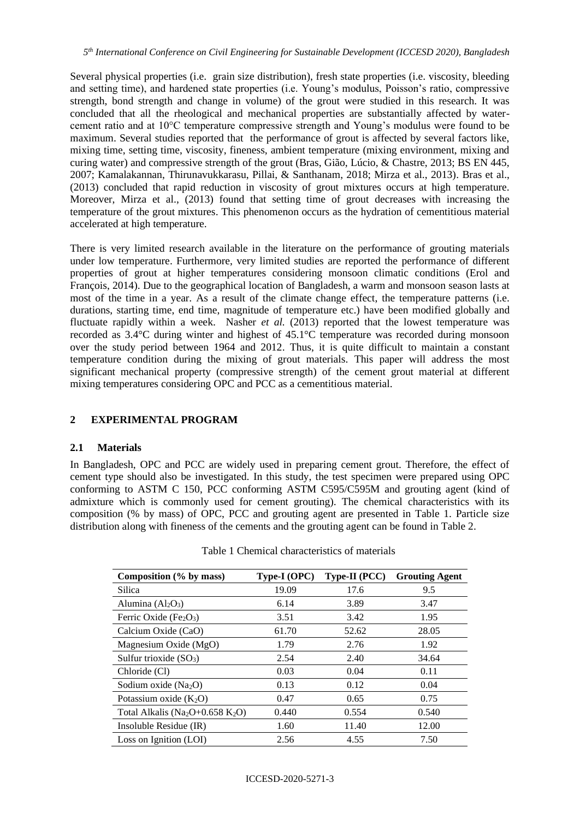Several physical properties (i.e. grain size distribution), fresh state properties (i.e. viscosity, bleeding and setting time), and hardened state properties (i.e. Young's modulus, Poisson's ratio, compressive strength, bond strength and change in volume) of the grout were studied in this research. It was concluded that all the rheological and mechanical properties are substantially affected by watercement ratio and at 10°C temperature compressive strength and Young's modulus were found to be maximum. Several studies reported that the performance of grout is affected by several factors like, mixing time, setting time, viscosity, fineness, ambient temperature (mixing environment, mixing and curing water) and compressive strength of the grout (Bras, Gião, Lúcio, & Chastre, 2013; BS EN 445, 2007; Kamalakannan, Thirunavukkarasu, Pillai, & Santhanam, 2018; Mirza et al., 2013). Bras et al., (2013) concluded that rapid reduction in viscosity of grout mixtures occurs at high temperature. Moreover, Mirza et al., (2013) found that setting time of grout decreases with increasing the temperature of the grout mixtures. This phenomenon occurs as the hydration of cementitious material accelerated at high temperature.

There is very limited research available in the literature on the performance of grouting materials under low temperature. Furthermore, very limited studies are reported the performance of different properties of grout at higher temperatures considering monsoon climatic conditions (Erol and François, 2014). Due to the geographical location of Bangladesh, a warm and monsoon season lasts at most of the time in a year. As a result of the climate change effect, the temperature patterns (i.e. durations, starting time, end time, magnitude of temperature etc.) have been modified globally and fluctuate rapidly within a week. Nasher *et al.* (2013) reported that the lowest temperature was recorded as 3.4°C during winter and highest of 45.1°C temperature was recorded during monsoon over the study period between 1964 and 2012. Thus, it is quite difficult to maintain a constant temperature condition during the mixing of grout materials. This paper will address the most significant mechanical property (compressive strength) of the cement grout material at different mixing temperatures considering OPC and PCC as a cementitious material.

# **2 EXPERIMENTAL PROGRAM**

# **2.1 Materials**

In Bangladesh, OPC and PCC are widely used in preparing cement grout. Therefore, the effect of cement type should also be investigated. In this study, the test specimen were prepared using OPC conforming to ASTM C 150, PCC conforming ASTM C595/C595M and grouting agent (kind of admixture which is commonly used for cement grouting). The chemical characteristics with its composition (% by mass) of OPC, PCC and grouting agent are presented in Table 1. Particle size distribution along with fineness of the cements and the grouting agent can be found in Table 2.

| Composition (% by mass)                                  | Type-I (OPC) | Type-II (PCC) | <b>Grouting Agent</b> |
|----------------------------------------------------------|--------------|---------------|-----------------------|
| Silica                                                   | 19.09        | 17.6          | 9.5                   |
| Alumina $(Al2O3)$                                        | 6.14         | 3.89          | 3.47                  |
| Ferric Oxide (Fe <sub>2</sub> O <sub>3</sub> )           | 3.51         | 3.42          | 1.95                  |
| Calcium Oxide (CaO)                                      | 61.70        | 52.62         | 28.05                 |
| Magnesium Oxide (MgO)                                    | 1.79         | 2.76          | 1.92                  |
| Sulfur trioxide $(SO_3)$                                 | 2.54         | 2.40          | 34.64                 |
| Chloride (Cl)                                            | 0.03         | 0.04          | 0.11                  |
| Sodium oxide $(Na2O)$                                    | 0.13         | 0.12          | 0.04                  |
| Potassium oxide $(K_2O)$                                 | 0.47         | 0.65          | 0.75                  |
| Total Alkalis (Na <sub>2</sub> O+0.658 K <sub>2</sub> O) | 0.440        | 0.554         | 0.540                 |
| Insoluble Residue (IR)                                   | 1.60         | 11.40         | 12.00                 |
| Loss on Ignition (LOI)                                   | 2.56         | 4.55          | 7.50                  |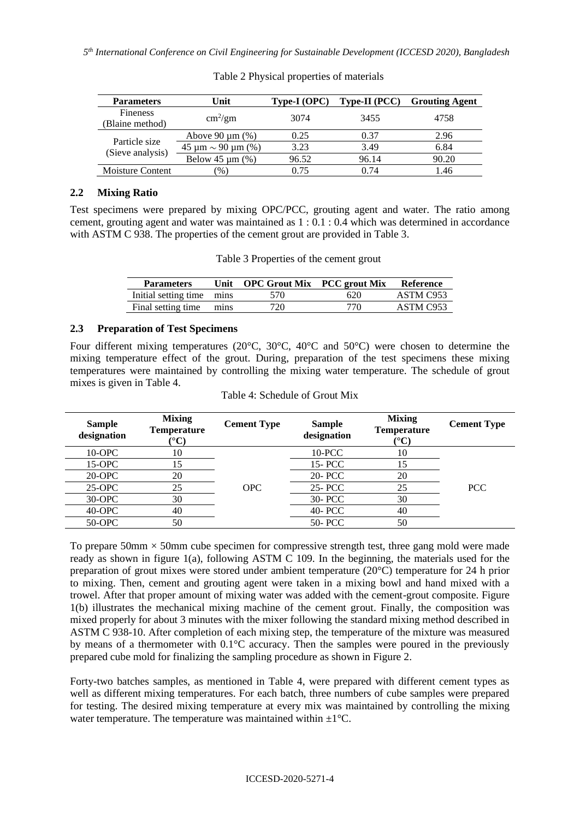*5 th International Conference on Civil Engineering for Sustainable Development (ICCESD 2020), Bangladesh*

| <b>Parameters</b>                 | Unit                         | Type-I (OPC) | <b>Type-II</b> (PCC) | <b>Grouting Agent</b> |
|-----------------------------------|------------------------------|--------------|----------------------|-----------------------|
| Fineness<br>(Blaine method)       | $\text{cm}^2/\text{gm}$      | 3074         | 3455                 | 4758                  |
| Particle size<br>(Sieve analysis) | Above $90 \mu m$ (%)         | 0.25         | 0.37                 | 2.96                  |
|                                   | $45 \mu m \sim 90 \mu m$ (%) | 3.23         | 3.49                 | 6.84                  |
|                                   | Below $45 \mu m$ (%)         | 96.52        | 96.14                | 90.20                 |
| <b>Moisture Content</b>           | $\mathcal{O}_0$              | 0.75         | 0.74                 | 1.46                  |

Table 2 Physical properties of materials

# **2.2 Mixing Ratio**

Test specimens were prepared by mixing OPC/PCC, grouting agent and water. The ratio among cement, grouting agent and water was maintained as 1 : 0.1 : 0.4 which was determined in accordance with ASTM C 938. The properties of the cement grout are provided in Table 3.

| Table 3 Properties of the cement grout |  |  |
|----------------------------------------|--|--|
|                                        |  |  |

| <b>Parameters</b>         | Jnit | <b>OPC Grout Mix</b> PCC grout Mix |     | <b>Reference</b> |
|---------------------------|------|------------------------------------|-----|------------------|
| Initial setting time mins |      | 570                                | 620 | ASTM C953        |
| Final setting time        | mins | 720                                | 770 | ASTM C953        |

# **2.3 Preparation of Test Specimens**

Four different mixing temperatures (20°C, 30°C, 40°C and 50°C) were chosen to determine the mixing temperature effect of the grout. During, preparation of the test specimens these mixing temperatures were maintained by controlling the mixing water temperature. The schedule of grout mixes is given in Table 4.

| <b>Sample</b><br>designation | <b>Mixing</b><br><b>Temperature</b><br>$^{\circ}$ C) | <b>Cement Type</b> | <b>Sample</b><br>designation | <b>Mixing</b><br><b>Temperature</b><br>(°C | <b>Cement Type</b> |
|------------------------------|------------------------------------------------------|--------------------|------------------------------|--------------------------------------------|--------------------|
| $10$ -OPC                    | 10                                                   |                    | $10$ -PCC                    | 10                                         |                    |
| 15-OPC                       | 15                                                   |                    | 15- PCC                      | 15                                         |                    |
| 20-OPC                       | 20                                                   |                    | 20- PCC                      | 20                                         |                    |
| $25-OPC$                     | 25                                                   | <b>OPC</b>         | 25-PCC                       | 25                                         | <b>PCC</b>         |
| 30-OPC                       | 30                                                   |                    | 30- PCC                      | 30                                         |                    |
| 40-OPC                       | 40                                                   |                    | 40- PCC                      | 40                                         |                    |
| 50-OPC                       | 50                                                   |                    | 50- PCC                      | 50                                         |                    |

| Table 4: Schedule of Grout Mix |
|--------------------------------|
|--------------------------------|

To prepare  $50 \text{mm} \times 50 \text{mm}$  cube specimen for compressive strength test, three gang mold were made ready as shown in figure 1(a), following ASTM C 109. In the beginning, the materials used for the preparation of grout mixes were stored under ambient temperature (20°C) temperature for 24 h prior to mixing. Then, cement and grouting agent were taken in a mixing bowl and hand mixed with a trowel. After that proper amount of mixing water was added with the cement-grout composite. Figure 1(b) illustrates the mechanical mixing machine of the cement grout. Finally, the composition was mixed properly for about 3 minutes with the mixer following the standard mixing method described in ASTM C 938-10. After completion of each mixing step, the temperature of the mixture was measured by means of a thermometer with 0.1°C accuracy. Then the samples were poured in the previously prepared cube mold for finalizing the sampling procedure as shown in Figure 2.

Forty-two batches samples, as mentioned in Table 4, were prepared with different cement types as well as different mixing temperatures. For each batch, three numbers of cube samples were prepared for testing. The desired mixing temperature at every mix was maintained by controlling the mixing water temperature. The temperature was maintained within  $\pm 1^{\circ}$ C.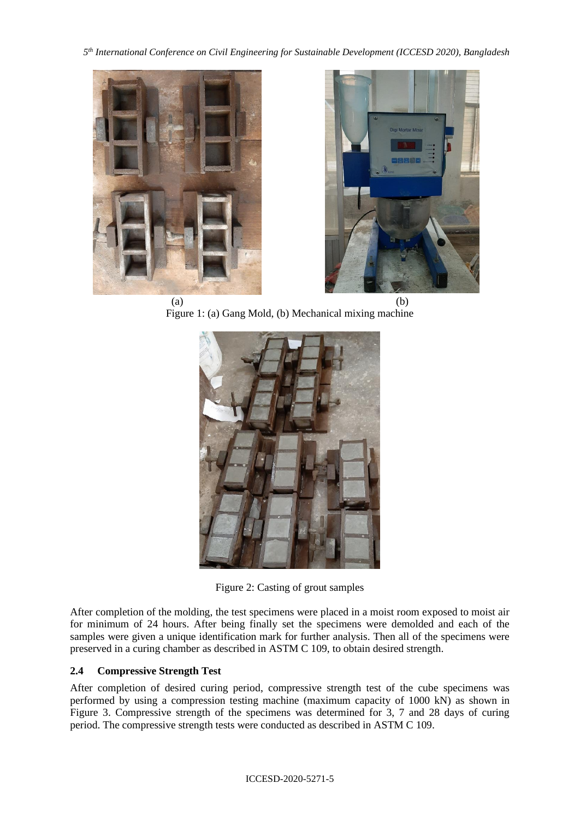*5 th International Conference on Civil Engineering for Sustainable Development (ICCESD 2020), Bangladesh*





 $(a)$  (b) Figure 1: (a) Gang Mold, (b) Mechanical mixing machine



Figure 2: Casting of grout samples

After completion of the molding, the test specimens were placed in a moist room exposed to moist air for minimum of 24 hours. After being finally set the specimens were demolded and each of the samples were given a unique identification mark for further analysis. Then all of the specimens were preserved in a curing chamber as described in ASTM C 109, to obtain desired strength.

# **2.4 Compressive Strength Test**

After completion of desired curing period, compressive strength test of the cube specimens was performed by using a compression testing machine (maximum capacity of 1000 kN) as shown in Figure 3. Compressive strength of the specimens was determined for 3, 7 and 28 days of curing period. The compressive strength tests were conducted as described in ASTM C 109.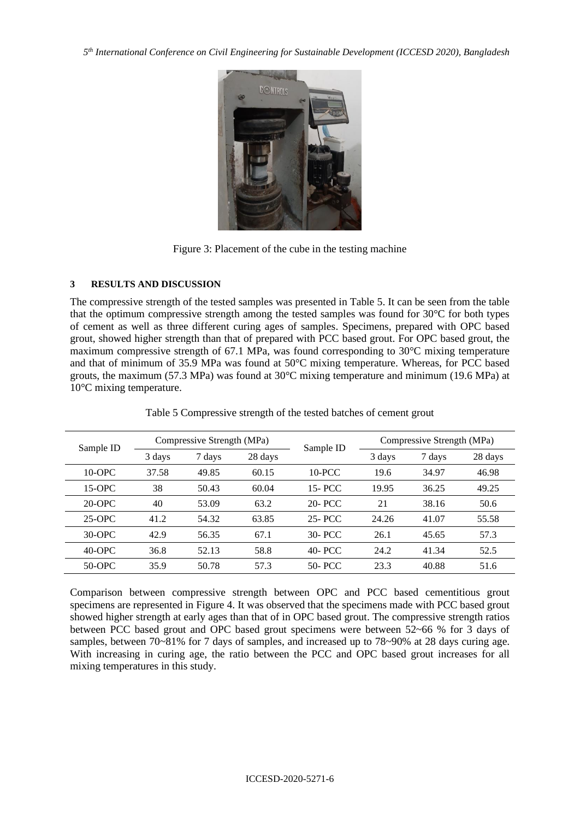*5 th International Conference on Civil Engineering for Sustainable Development (ICCESD 2020), Bangladesh*



Figure 3: Placement of the cube in the testing machine

#### **3 RESULTS AND DISCUSSION**

The compressive strength of the tested samples was presented in Table 5. It can be seen from the table that the optimum compressive strength among the tested samples was found for 30°C for both types of cement as well as three different curing ages of samples. Specimens, prepared with OPC based grout, showed higher strength than that of prepared with PCC based grout. For OPC based grout, the maximum compressive strength of 67.1 MPa, was found corresponding to 30°C mixing temperature and that of minimum of 35.9 MPa was found at 50°C mixing temperature. Whereas, for PCC based grouts, the maximum (57.3 MPa) was found at 30°C mixing temperature and minimum (19.6 MPa) at 10°C mixing temperature.

|           |                                          | Compressive Strength (MPa) |        |           | Compressive Strength (MPa) |       |       |
|-----------|------------------------------------------|----------------------------|--------|-----------|----------------------------|-------|-------|
| Sample ID | Sample ID<br>28 days<br>3 days<br>7 days | 3 days                     | 7 days | 28 days   |                            |       |       |
| $10$ -OPC | 37.58                                    | 49.85                      | 60.15  | $10$ -PCC | 19.6                       | 34.97 | 46.98 |
| $15-OPC$  | 38                                       | 50.43                      | 60.04  | 15- PCC   | 19.95                      | 36.25 | 49.25 |
| $20$ -OPC | 40                                       | 53.09                      | 63.2   | 20- PCC   | 21                         | 38.16 | 50.6  |
| $25-OPC$  | 41.2                                     | 54.32                      | 63.85  | 25-PCC    | 24.26                      | 41.07 | 55.58 |
| $30$ -OPC | 42.9                                     | 56.35                      | 67.1   | 30- PCC   | 26.1                       | 45.65 | 57.3  |
| $40$ -OPC | 36.8                                     | 52.13                      | 58.8   | 40- PCC   | 24.2                       | 41.34 | 52.5  |
| 50-OPC    | 35.9                                     | 50.78                      | 57.3   | 50- PCC   | 23.3                       | 40.88 | 51.6  |

Table 5 Compressive strength of the tested batches of cement grout

Comparison between compressive strength between OPC and PCC based cementitious grout specimens are represented in Figure 4. It was observed that the specimens made with PCC based grout showed higher strength at early ages than that of in OPC based grout. The compressive strength ratios between PCC based grout and OPC based grout specimens were between 52~66 % for 3 days of samples, between 70~81% for 7 days of samples, and increased up to 78~90% at 28 days curing age. With increasing in curing age, the ratio between the PCC and OPC based grout increases for all mixing temperatures in this study.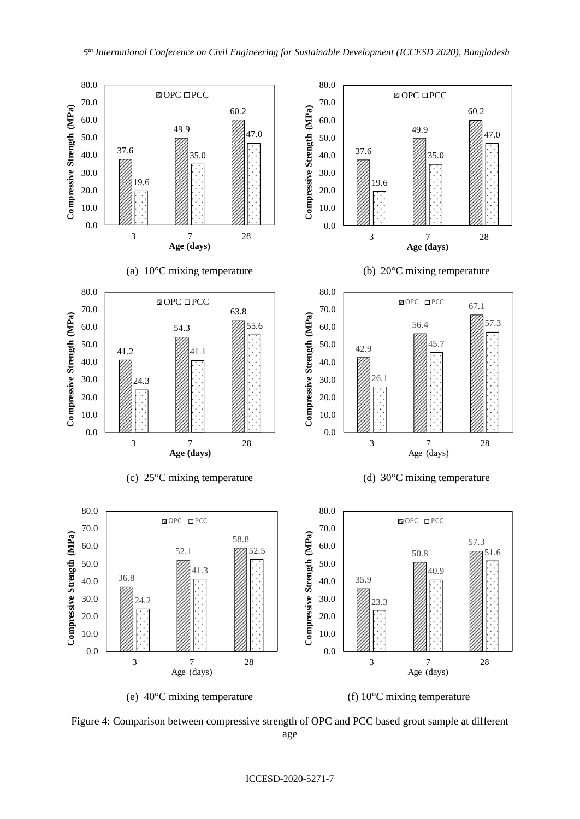

Figure 4: Comparison between compressive strength of OPC and PCC based grout sample at different age

#### ICCESD-2020-5271-7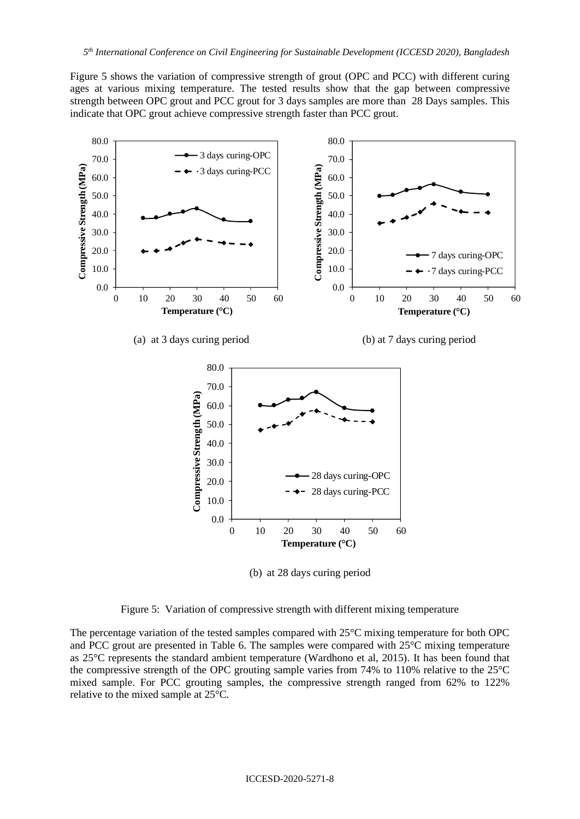Figure 5 shows the variation of compressive strength of grout (OPC and PCC) with different curing ages at various mixing temperature. The tested results show that the gap between compressive strength between OPC grout and PCC grout for 3 days samples are more than 28 Days samples. This indicate that OPC grout achieve compressive strength faster than PCC grout.



(b) at 28 days curing period



The percentage variation of the tested samples compared with 25°C mixing temperature for both OPC and PCC grout are presented in Table 6. The samples were compared with 25°C mixing temperature as 25°C represents the standard ambient temperature (Wardhono et al, 2015). It has been found that the compressive strength of the OPC grouting sample varies from 74% to 110% relative to the 25°C mixed sample. For PCC grouting samples, the compressive strength ranged from 62% to 122% relative to the mixed sample at 25°C.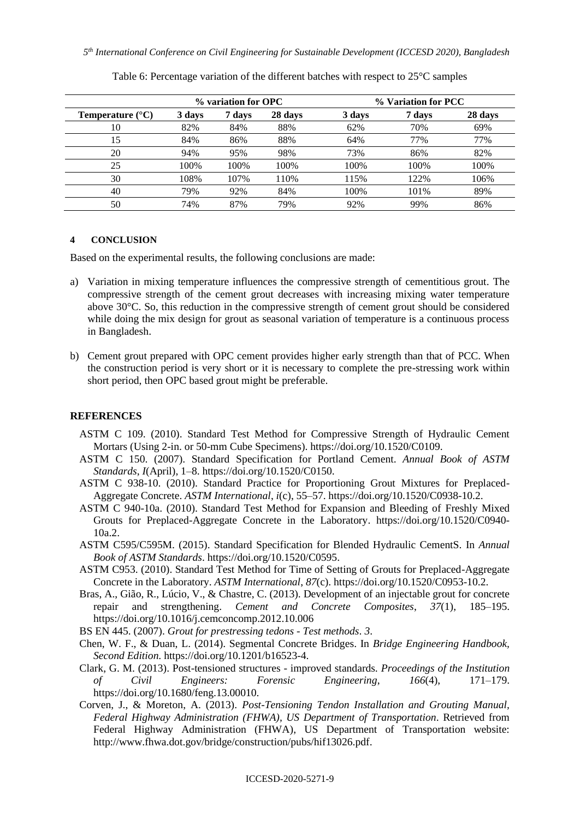|                                  | % variation for OPC |        | % Variation for PCC |        |        |         |
|----------------------------------|---------------------|--------|---------------------|--------|--------|---------|
| <b>Temperature</b> $(^{\circ}C)$ | 3 days              | 7 days | 28 days             | 3 days | 7 days | 28 days |
| 10                               | 82%                 | 84%    | 88%                 | 62%    | 70%    | 69%     |
| 15                               | 84%                 | 86%    | 88%                 | 64%    | 77%    | 77%     |
| 20                               | 94%                 | 95%    | 98%                 | 73%    | 86%    | 82%     |
| 25                               | 100%                | 100%   | 100%                | 100%   | 100%   | 100%    |
| 30                               | 108%                | 107%   | 110%                | 115%   | 122%   | 106%    |
| 40                               | 79%                 | 92%    | 84%                 | 100%   | 101%   | 89%     |
| 50                               | 74%                 | 87%    | 79%                 | 92%    | 99%    | 86%     |

Table 6: Percentage variation of the different batches with respect to 25°C samples

### **4 CONCLUSION**

Based on the experimental results, the following conclusions are made:

- a) Variation in mixing temperature influences the compressive strength of cementitious grout. The compressive strength of the cement grout decreases with increasing mixing water temperature above 30°C. So, this reduction in the compressive strength of cement grout should be considered while doing the mix design for grout as seasonal variation of temperature is a continuous process in Bangladesh.
- b) Cement grout prepared with OPC cement provides higher early strength than that of PCC. When the construction period is very short or it is necessary to complete the pre-stressing work within short period, then OPC based grout might be preferable.

#### **REFERENCES**

- ASTM C 109. (2010). Standard Test Method for Compressive Strength of Hydraulic Cement Mortars (Using 2-in. or 50-mm Cube Specimens). https://doi.org/10.1520/C0109.
- ASTM C 150. (2007). Standard Specification for Portland Cement. *Annual Book of ASTM Standards*, *I*(April), 1–8. https://doi.org/10.1520/C0150.
- ASTM C 938-10. (2010). Standard Practice for Proportioning Grout Mixtures for Preplaced-Aggregate Concrete. *ASTM International*, *i*(c), 55–57. https://doi.org/10.1520/C0938-10.2.
- ASTM C 940-10a. (2010). Standard Test Method for Expansion and Bleeding of Freshly Mixed Grouts for Preplaced-Aggregate Concrete in the Laboratory. https://doi.org/10.1520/C0940- 10a.2.
- ASTM C595/C595M. (2015). Standard Specification for Blended Hydraulic CementS. In *Annual Book of ASTM Standards*. https://doi.org/10.1520/C0595.
- ASTM C953. (2010). Standard Test Method for Time of Setting of Grouts for Preplaced-Aggregate Concrete in the Laboratory. *ASTM International*, *87*(c). https://doi.org/10.1520/C0953-10.2.
- Bras, A., Gião, R., Lúcio, V., & Chastre, C. (2013). Development of an injectable grout for concrete repair and strengthening. *Cement and Concrete Composites*, *37*(1), 185–195. https://doi.org/10.1016/j.cemconcomp.2012.10.006
- BS EN 445. (2007). *Grout for prestressing tedons - Test methods*. *3*.
- Chen, W. F., & Duan, L. (2014). Segmental Concrete Bridges. In *Bridge Engineering Handbook, Second Edition*. https://doi.org/10.1201/b16523-4.
- Clark, G. M. (2013). Post-tensioned structures improved standards. *Proceedings of the Institution of Civil Engineers: Forensic Engineering*, *166*(4), 171–179. https://doi.org/10.1680/feng.13.00010.
- Corven, J., & Moreton, A. (2013). *Post-Tensioning Tendon Installation and Grouting Manual, Federal Highway Administration (FHWA), US Department of Transportation*. Retrieved from Federal Highway Administration (FHWA), US Department of Transportation website: http://www.fhwa.dot.gov/bridge/construction/pubs/hif13026.pdf.